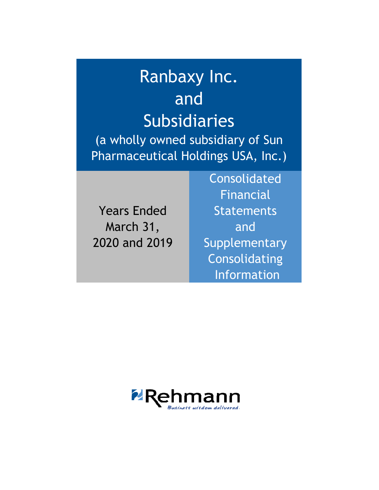# Ranbaxy Inc. and Subsidiaries

(a wholly owned subsidiary of Sun Pharmaceutical Holdings USA, Inc.)

Years Ended March 31, 2020 and 2019

Consolidated Financial **Statements** and Supplementary Consolidating Information

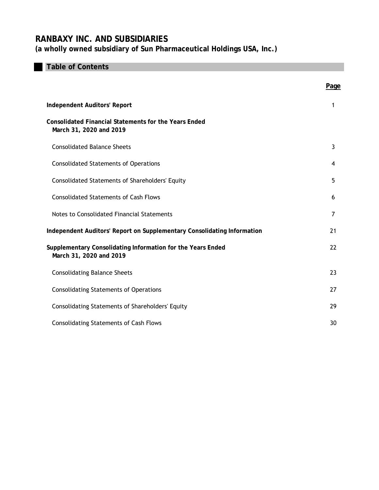**(a wholly owned subsidiary of Sun Pharmaceutical Holdings USA, Inc.)** 

# **Table of Contents**

|                                                                                         | Page |
|-----------------------------------------------------------------------------------------|------|
| <b>Independent Auditors' Report</b>                                                     | 1    |
| <b>Consolidated Financial Statements for the Years Ended</b><br>March 31, 2020 and 2019 |      |
| <b>Consolidated Balance Sheets</b>                                                      | 3    |
| <b>Consolidated Statements of Operations</b>                                            | 4    |
| <b>Consolidated Statements of Shareholders' Equity</b>                                  | 5    |
| <b>Consolidated Statements of Cash Flows</b>                                            | 6    |
| Notes to Consolidated Financial Statements                                              | 7    |
| Independent Auditors' Report on Supplementary Consolidating Information                 | 21   |
| Supplementary Consolidating Information for the Years Ended<br>March 31, 2020 and 2019  | 22   |
| <b>Consolidating Balance Sheets</b>                                                     | 23   |
| <b>Consolidating Statements of Operations</b>                                           | 27   |
| Consolidating Statements of Shareholders' Equity                                        | 29   |
| <b>Consolidating Statements of Cash Flows</b>                                           | 30   |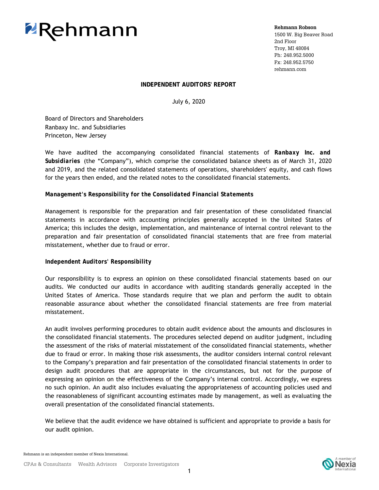# **ZRehmann**

**Rehmann Robson** 1500 W. Big Beaver Road 2nd Floor

Troy, MI 48084 Ph: 248.952.5000 Fx: 248.952.5750 rehmann.com

#### **INDEPENDENT AUDITORS' REPORT**

July 6, 2020

Board of Directors and Shareholders Ranbaxy Inc. and Subsidiaries Princeton, New Jersey

We have audited the accompanying consolidated financial statements of *Ranbaxy Inc. and Subsidiaries* (the "Company"), which comprise the consolidated balance sheets as of March 31, 2020 and 2019, and the related consolidated statements of operations, shareholders' equity, and cash flows for the years then ended, and the related notes to the consolidated financial statements.

#### *Management's Responsibility for the Consolidated Financial Statements*

Management is responsible for the preparation and fair presentation of these consolidated financial statements in accordance with accounting principles generally accepted in the United States of America; this includes the design, implementation, and maintenance of internal control relevant to the preparation and fair presentation of consolidated financial statements that are free from material misstatement, whether due to fraud or error.

## *Independent Auditors' Responsibility*

Our responsibility is to express an opinion on these consolidated financial statements based on our audits. We conducted our audits in accordance with auditing standards generally accepted in the United States of America. Those standards require that we plan and perform the audit to obtain reasonable assurance about whether the consolidated financial statements are free from material misstatement.

An audit involves performing procedures to obtain audit evidence about the amounts and disclosures in the consolidated financial statements. The procedures selected depend on auditor judgment, including the assessment of the risks of material misstatement of the consolidated financial statements, whether due to fraud or error. In making those risk assessments, the auditor considers internal control relevant to the Company's preparation and fair presentation of the consolidated financial statements in order to design audit procedures that are appropriate in the circumstances, but not for the purpose of expressing an opinion on the effectiveness of the Company's internal control. Accordingly, we express no such opinion. An audit also includes evaluating the appropriateness of accounting policies used and the reasonableness of significant accounting estimates made by management, as well as evaluating the overall presentation of the consolidated financial statements.

We believe that the audit evidence we have obtained is sufficient and appropriate to provide a basis for our audit opinion.

Rehmann is an independent member of Nexia International.

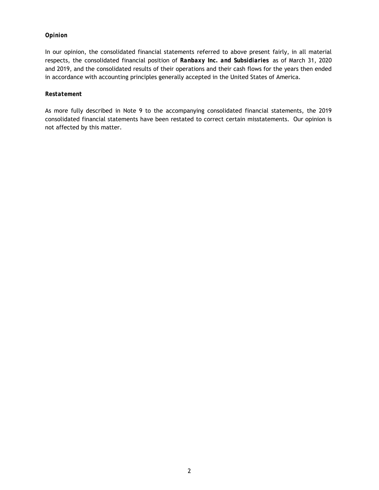#### *Opinion*

In our opinion, the consolidated financial statements referred to above present fairly, in all material respects, the consolidated financial position of *Ranbaxy Inc. and Subsidiaries* as of March 31, 2020 and 2019, and the consolidated results of their operations and their cash flows for the years then ended in accordance with accounting principles generally accepted in the United States of America.

#### *Restatement*

As more fully described in Note 9 to the accompanying consolidated financial statements, the 2019 consolidated financial statements have been restated to correct certain misstatements. Our opinion is not affected by this matter.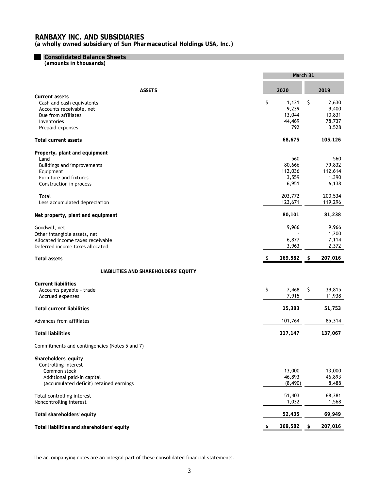**(a wholly owned subsidiary of Sun Pharmaceutical Holdings USA, Inc.)**

#### **Consolidated Balance Sheets**

*(amounts in thousands)*

٠

|                                                                                                                                       | March 31                                        |                                                   |
|---------------------------------------------------------------------------------------------------------------------------------------|-------------------------------------------------|---------------------------------------------------|
| <b>ASSETS</b>                                                                                                                         | 2020                                            | 2019                                              |
| Current assets<br>Cash and cash equivalents<br>Accounts receivable, net<br>Due from affiliates<br>Inventories<br>Prepaid expenses     | \$<br>1,131<br>9,239<br>13,044<br>44,469<br>792 | \$<br>2,630<br>9,400<br>10,831<br>78,737<br>3,528 |
| <b>Total current assets</b>                                                                                                           | 68,675                                          | 105,126                                           |
| Property, plant and equipment<br>Land<br>Buildings and improvements<br>Equipment<br>Furniture and fixtures<br>Construction in process | 560<br>80,666<br>112,036<br>3,559<br>6,951      | 560<br>79,832<br>112,614<br>1,390<br>6,138        |
| Total<br>Less accumulated depreciation                                                                                                | 203,772<br>123,671                              | 200,534<br>119,296                                |
| Net property, plant and equipment                                                                                                     | 80,101                                          | 81,238                                            |
| Goodwill, net<br>Other intangible assets, net<br>Allocated income taxes receivable<br>Deferred income taxes allocated                 | 9,966<br>6,877<br>3,963                         | 9,966<br>1,200<br>7,114<br>2,372                  |
| <b>Total assets</b>                                                                                                                   | \$<br>169,582                                   | \$<br>207,016                                     |
| LIABILITIES AND SHAREHOLDERS' EQUITY                                                                                                  |                                                 |                                                   |
| <b>Current liabilities</b><br>Accounts payable - trade<br>Accrued expenses                                                            | \$<br>7,468<br>7,915                            | \$<br>39,815<br>11,938                            |
| <b>Total current liabilities</b>                                                                                                      | 15,383                                          | 51,753                                            |
| Advances from affiliates                                                                                                              | 101,764                                         | 85,314                                            |
| <b>Total liabilities</b>                                                                                                              | 117,147                                         | 137,067                                           |
| Commitments and contingencies (Notes 5 and 7)                                                                                         |                                                 |                                                   |
| Shareholders' equity<br>Controlling interest<br>Common stock<br>Additional paid-in capital<br>(Accumulated deficit) retained earnings | 13,000<br>46,893<br>(8, 490)                    | 13,000<br>46,893<br>8,488                         |
| Total controlling interest<br>Noncontrolling interest                                                                                 | 51,403<br>1,032                                 | 68,381<br>1,568                                   |
| Total shareholders' equity                                                                                                            | 52,435                                          | 69,949                                            |
| Total liabilities and shareholders' equity                                                                                            | \$<br>169,582                                   | \$<br>207,016                                     |

The accompanying notes are an integral part of these consolidated financial statements.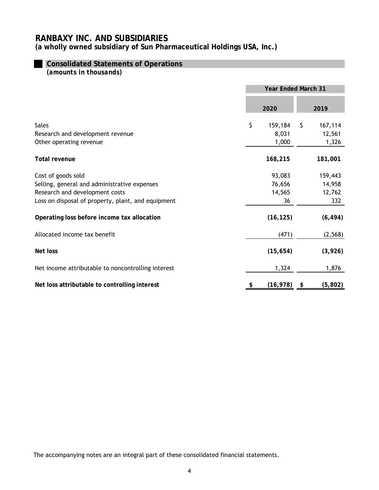**(a wholly owned subsidiary of Sun Pharmaceutical Holdings USA, Inc.)**

## **Consolidated Statements of Operations**

*(amounts in thousands)*

|                                                    | <b>Year Ended March 31</b> |    |          |  |
|----------------------------------------------------|----------------------------|----|----------|--|
|                                                    | 2020                       |    | 2019     |  |
| <b>Sales</b>                                       | \$<br>159,184              | \$ | 167,114  |  |
| Research and development revenue                   | 8,031                      |    | 12,561   |  |
| Other operating revenue                            | 1,000                      |    | 1,326    |  |
| <b>Total revenue</b>                               | 168,215                    |    | 181,001  |  |
| Cost of goods sold                                 | 93,083                     |    | 159,443  |  |
| Selling, general and administrative expenses       | 76,656                     |    | 14,958   |  |
| Research and development costs                     | 14,565                     |    | 12,762   |  |
| Loss on disposal of property, plant, and equipment | 36                         |    | 332      |  |
| Operating loss before income tax allocation        | (16, 125)                  |    | (6, 494) |  |
| Allocated income tax benefit                       | (471)                      |    | (2, 568) |  |
| Net loss                                           | (15, 654)                  |    | (3,926)  |  |
| Net income attributable to noncontrolling interest | 1,324                      |    | 1,876    |  |
| Net loss attributable to controlling interest      | \$<br>(16, 978)            | \$ | (5,802)  |  |

The accompanying notes are an integral part of these consolidated financial statements.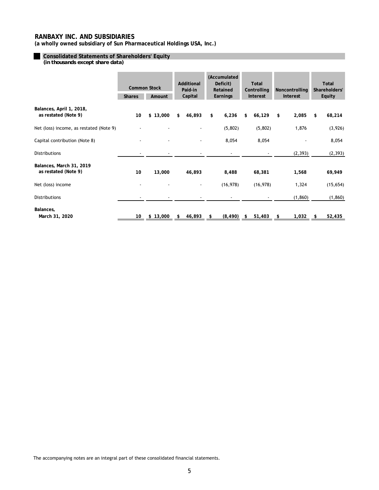**(a wholly owned subsidiary of Sun Pharmaceutical Holdings USA, Inc.)**

#### **Consolidated Statements of Shareholders' Equity**

*(in thousands except share data)* 

|                                                  |               | <b>Common Stock</b> | Additional<br>Paid-in | (Accumulated<br>Deficit)<br>Retained | <b>Total</b><br>Controlling | Noncontrolling  | Total<br>Shareholders' |
|--------------------------------------------------|---------------|---------------------|-----------------------|--------------------------------------|-----------------------------|-----------------|------------------------|
|                                                  | <b>Shares</b> | Amount              | Capital               | Earnings                             | Interest                    | <b>Interest</b> | Equity                 |
| Balances, April 1, 2018,<br>as restated (Note 9) | 10            | \$13,000            | 46,893<br>\$          | 6,236<br>\$                          | 66,129<br>\$                | 2,085<br>\$     | 68,214<br>\$           |
| Net (loss) income, as restated (Note 9)          |               |                     |                       | (5,802)                              | (5,802)                     | 1,876           | (3,926)                |
| Capital contribution (Note 8)                    |               |                     |                       | 8,054                                | 8,054                       |                 | 8,054                  |
| <b>Distributions</b>                             |               |                     |                       |                                      |                             | (2, 393)        | (2, 393)               |
| Balances, March 31, 2019<br>as restated (Note 9) | 10            | 13,000              | 46,893                | 8,488                                | 68,381                      | 1,568           | 69,949                 |
| Net (loss) income                                |               |                     |                       | (16, 978)                            | (16, 978)                   | 1,324           | (15, 654)              |
| Distributions                                    |               |                     |                       |                                      |                             | (1, 860)        | (1,860)                |
| Balances,                                        |               |                     |                       |                                      |                             |                 |                        |
| March 31, 2020                                   | 10            | \$13,000            | 46,893<br>- \$        | (8, 490)                             | 51,403<br>\$                | 1,032           | 52,435                 |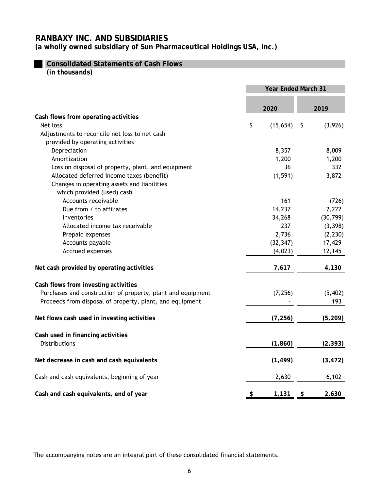**(a wholly owned subsidiary of Sun Pharmaceutical Holdings USA, Inc.)**

## **Consolidated Statements of Cash Flows**

*(in thousands)*

|                                                                                                                         | <b>Year Ended March 31</b> |      |                |  |
|-------------------------------------------------------------------------------------------------------------------------|----------------------------|------|----------------|--|
|                                                                                                                         | 2020                       |      | 2019           |  |
| Cash flows from operating activities                                                                                    |                            |      |                |  |
| Net loss                                                                                                                | \$<br>(15, 654)            | - \$ | (3,926)        |  |
| Adjustments to reconcile net loss to net cash                                                                           |                            |      |                |  |
| provided by operating activities                                                                                        |                            |      |                |  |
| Depreciation                                                                                                            | 8,357                      |      | 8,009          |  |
| Amortization                                                                                                            | 1,200                      |      | 1,200          |  |
| Loss on disposal of property, plant, and equipment                                                                      | 36                         |      | 332            |  |
| Allocated deferred income taxes (benefit)                                                                               | (1, 591)                   |      | 3,872          |  |
| Changes in operating assets and liabilities                                                                             |                            |      |                |  |
| which provided (used) cash                                                                                              |                            |      |                |  |
| Accounts receivable                                                                                                     | 161                        |      | (726)          |  |
| Due from / to affiliates                                                                                                | 14,237                     |      | 2,222          |  |
| Inventories                                                                                                             | 34,268                     |      | (30, 799)      |  |
| Allocated income tax receivable                                                                                         | 237                        |      | (3, 398)       |  |
| Prepaid expenses                                                                                                        | 2,736                      |      | (2, 230)       |  |
| Accounts payable                                                                                                        | (32, 347)                  |      | 17,429         |  |
| Accrued expenses                                                                                                        | (4,023)                    |      | 12,145         |  |
| Net cash provided by operating activities                                                                               | 7,617                      |      | 4,130          |  |
| Cash flows from investing activities                                                                                    |                            |      |                |  |
| Purchases and construction of property, plant and equipment<br>Proceeds from disposal of property, plant, and equipment | (7, 256)                   |      | (5,402)<br>193 |  |
| Net flows cash used in investing activities                                                                             | (7, 256)                   |      | (5, 209)       |  |
| Cash used in financing activities                                                                                       |                            |      |                |  |
| <b>Distributions</b>                                                                                                    | (1, 860)                   |      | (2, 393)       |  |
| Net decrease in cash and cash equivalents                                                                               | (1, 499)                   |      | (3, 472)       |  |
| Cash and cash equivalents, beginning of year                                                                            | 2,630                      |      | 6,102          |  |
| Cash and cash equivalents, end of year                                                                                  | \$<br>1,131                | \$   | 2,630          |  |

The accompanying notes are an integral part of these consolidated financial statements.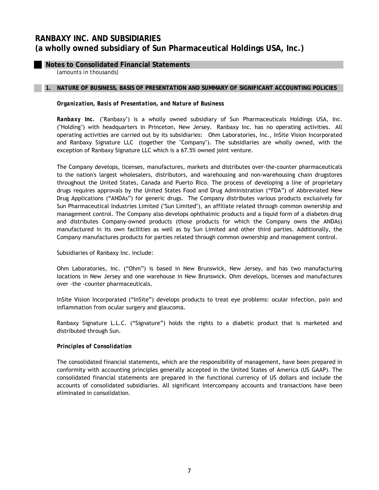#### **Notes to Consolidated Financial Statements**

*(amounts in thousands)*

#### **1. NATURE OF BUSINESS, BASIS OF PRESENTATION AND SUMMARY OF SIGNIFICANT ACCOUNTING POLICIES**

#### *Organization, Basis of Presentation, and Nature of Business*

*Ranbaxy Inc.* ("Ranbaxy") is a wholly owned subsidiary of Sun Pharmaceuticals Holdings USA, Inc. ("Holding") with headquarters in Princeton, New Jersey. Ranbaxy Inc. has no operating activities. All operating activities are carried out by its subsidiaries: Ohm Laboratories, Inc., InSite Vision Incorporated and Ranbaxy Signature LLC (together the "Company"). The subsidiaries are wholly owned, with the exception of Ranbaxy Signature LLC which is a 67.5% owned joint venture.

The Company develops, licenses, manufactures, markets and distributes over-the-counter pharmaceuticals to the nation's largest wholesalers, distributors, and warehousing and non-warehousing chain drugstores throughout the United States, Canada and Puerto Rico. The process of developing a line of proprietary drugs requires approvals by the United States Food and Drug Administration ("FDA") of Abbreviated New Drug Applications ("ANDAs") for generic drugs. The Company distributes various products exclusively for Sun Pharmaceutical Industries Limited ("Sun Limited"), an affiliate related through common ownership and management control. The Company also develops ophthalmic products and a liquid form of a diabetes drug and distributes Company-owned products (those products for which the Company owns the ANDAs) manufactured in its own facilities as well as by Sun Limited and other third parties. Additionally, the Company manufactures products for parties related through common ownership and management control.

#### Subsidiaries of Ranbaxy Inc. include:

Ohm Laboratories, Inc. ("Ohm") is based in New Brunswick, New Jersey, and has two manufacturing locations in New Jersey and one warehouse in New Brunswick. Ohm develops, licenses and manufactures over -the -counter pharmaceuticals.

InSite Vision Incorporated ("InSite") develops products to treat eye problems: ocular infection, pain and inflammation from ocular surgery and glaucoma.

Ranbaxy Signature L.L.C. ("Signature") holds the rights to a diabetic product that is marketed and distributed through Sun.

#### *Principles of Consolidation*

The consolidated financial statements, which are the responsibility of management, have been prepared in conformity with accounting principles generally accepted in the United States of America (US GAAP). The consolidated financial statements are prepared in the functional currency of US dollars and include the accounts of consolidated subsidiaries. All significant intercompany accounts and transactions have been eliminated in consolidation.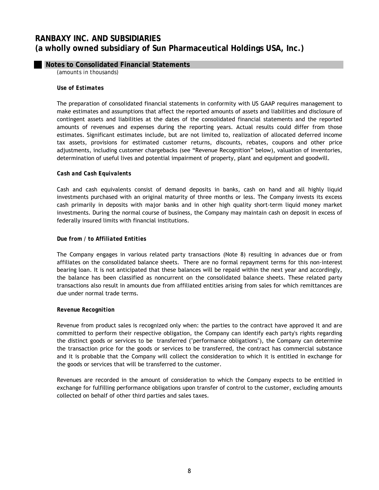#### **Notes to Consolidated Financial Statements**

*(amounts in thousands)*

#### *Use of Estimates*

The preparation of consolidated financial statements in conformity with US GAAP requires management to make estimates and assumptions that affect the reported amounts of assets and liabilities and disclosure of contingent assets and liabilities at the dates of the consolidated financial statements and the reported amounts of revenues and expenses during the reporting years. Actual results could differ from those estimates. Significant estimates include, but are not limited to, realization of allocated deferred income tax assets, provisions for estimated customer returns, discounts, rebates, coupons and other price adjustments, including customer chargebacks (see "Revenue Recognition" below), valuation of inventories, determination of useful lives and potential impairment of property, plant and equipment and goodwill.

#### *Cash and Cash Equivalents*

Cash and cash equivalents consist of demand deposits in banks, cash on hand and all highly liquid investments purchased with an original maturity of three months or less. The Company invests its excess cash primarily in deposits with major banks and in other high quality short-term liquid money market investments. During the normal course of business, the Company may maintain cash on deposit in excess of federally insured limits with financial institutions.

#### *Due from / to Affiliated Entities*

The Company engages in various related party transactions (Note 8) resulting in advances due or from affiliates on the consolidated balance sheets. There are no formal repayment terms for this non-interest bearing loan. It is not anticipated that these balances will be repaid within the next year and accordingly, the balance has been classified as noncurrent on the consolidated balance sheets. These related party transactions also result in amounts due from affiliated entities arising from sales for which remittances are due under normal trade terms.

#### *Revenue Recognition*

Revenue from product sales is recognized only when: the parties to the contract have approved it and are committed to perform their respective obligation, the Company can identify each party's rights regarding the distinct goods or services to be transferred ("performance obligations"), the Company can determine the transaction price for the goods or services to be transferred, the contract has commercial substance and it is probable that the Company will collect the consideration to which it is entitled in exchange for the goods or services that will be transferred to the customer.

Revenues are recorded in the amount of consideration to which the Company expects to be entitled in exchange for fulfilling performance obligations upon transfer of control to the customer, excluding amounts collected on behalf of other third parties and sales taxes.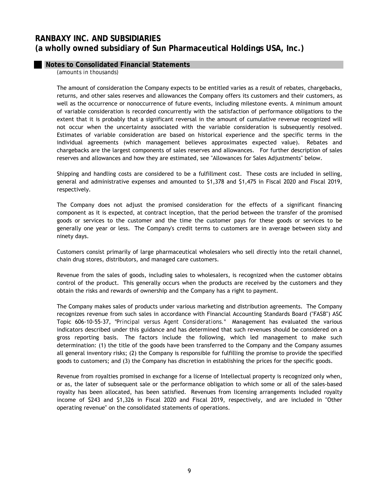#### **Notes to Consolidated Financial Statements**

*(amounts in thousands)*

The amount of consideration the Company expects to be entitled varies as a result of rebates, chargebacks, returns, and other sales reserves and allowances the Company offers its customers and their customers, as well as the occurrence or nonoccurrence of future events, including milestone events. A minimum amount of variable consideration is recorded concurrently with the satisfaction of performance obligations to the extent that it is probably that a significant reversal in the amount of cumulative revenue recognized will not occur when the uncertainty associated with the variable consideration is subsequently resolved. Estimates of variable consideration are based on historical experience and the specific terms in the individual agreements (which management believes approximates expected value). Rebates and chargebacks are the largest components of sales reserves and allowances. For further description of sales reserves and allowances and how they are estimated, see "Allowances for Sales Adjustments" below.

Shipping and handling costs are considered to be a fulfillment cost. These costs are included in selling, general and administrative expenses and amounted to \$1,378 and \$1,475 in Fiscal 2020 and Fiscal 2019, respectively.

The Company does not adjust the promised consideration for the effects of a significant financing component as it is expected, at contract inception, that the period between the transfer of the promised goods or services to the customer and the time the customer pays for these goods or services to be generally one year or less. The Company's credit terms to customers are in average between sixty and ninety days.

Customers consist primarily of large pharmaceutical wholesalers who sell directly into the retail channel, chain drug stores, distributors, and managed care customers.

Revenue from the sales of goods, including sales to wholesalers, is recognized when the customer obtains control of the product. This generally occurs when the products are received by the customers and they obtain the risks and rewards of ownership and the Company has a right to payment.

The Company makes sales of products under various marketing and distribution agreements. The Company recognizes revenue from such sales in accordance with Financial Accounting Standards Board ("FASB") ASC Topic 606-10-55-37, *"Principal versus Agent Considerations."* Management has evaluated the various indicators described under this guidance and has determined that such revenues should be considered on a gross reporting basis. The factors include the following, which led management to make such determination: (1) the title of the goods have been transferred to the Company and the Company assumes all general inventory risks; (2) the Company is responsible for fulfilling the promise to provide the specified goods to customers; and (3) the Company has discretion in establishing the prices for the specific goods.

Revenue from royalties promised in exchange for a license of Intellectual property is recognized only when, or as, the later of subsequent sale or the performance obligation to which some or all of the sales-based royalty has been allocated, has been satisfied. Revenues from licensing arrangements included royalty income of \$243 and \$1,326 in Fiscal 2020 and Fiscal 2019, respectively, and are included in "Other operating revenue" on the consolidated statements of operations.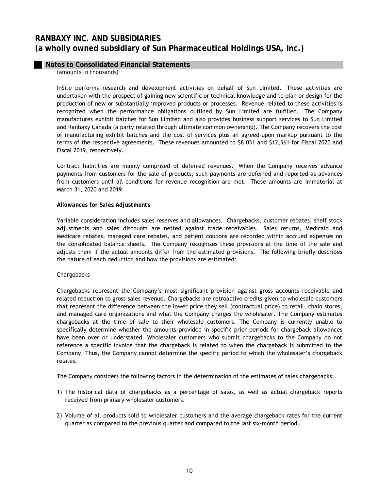#### **Notes to Consolidated Financial Statements**

*(amounts in thousands)*

InSite performs research and development activities on behalf of Sun Limited. These activities are undertaken with the prospect of gaining new scientific or technical knowledge and to plan or design for the production of new or substantially improved products or processes. Revenue related to these activities is recognized when the performance obligations outlined by Sun Limited are fulfilled. The Company manufactures exhibit batches for Sun Limited and also provides business support services to Sun Limited and Ranbaxy Canada (a party related through ultimate common ownership). The Company recovers the cost of manufacturing exhibit batches and the cost of services plus an agreed-upon markup pursuant to the terms of the respective agreements. These revenues amounted to \$8,031 and \$12,561 for Fiscal 2020 and Fiscal 2019, respectively.

Contract liabilities are mainly comprised of deferred revenues. When the Company receives advance payments from customers for the sale of products, such payments are deferred and reported as advances from customers until all conditions for revenue recognition are met. These amounts are immaterial at March 31, 2020 and 2019.

#### *Allowances for Sales Adjustments*

Variable consideration includes sales reserves and allowances. Chargebacks, customer rebates, shelf stock adjustments and sales discounts are netted against trade receivables. Sales returns, Medicaid and Medicare rebates, managed care rebates, and patient coupons are recorded within accrued expenses on the consolidated balance sheets. The Company recognizes these provisions at the time of the sale and adjusts them if the actual amounts differ from the estimated provisions. The following briefly describes the nature of each deduction and how the provisions are estimated:

#### *Chargebacks*

Chargebacks represent the Company's most significant provision against gross accounts receivable and related reduction to gross sales revenue. Chargebacks are retroactive credits given to wholesale customers that represent the difference between the lower price they sell (contractual price) to retail, chain stores, and managed care organizations and what the Company charges the wholesaler. The Company estimates chargebacks at the time of sale to their wholesale customers. The Company is currently unable to specifically determine whether the amounts provided in specific prior periods for chargeback allowances have been over or understated. Wholesaler customers who submit chargebacks to the Company do not reference a specific invoice that the chargeback is related to when the chargeback is submitted to the Company. Thus, the Company cannot determine the specific period to which the wholesaler's chargeback relates.

The Company considers the following factors in the determination of the estimates of sales chargebacks:

- 1) The historical data of chargebacks as a percentage of sales, as well as actual chargeback reports received from primary wholesaler customers.
- 2) Volume of all products sold to wholesaler customers and the average chargeback rates for the current quarter as compared to the previous quarter and compared to the last six-month period.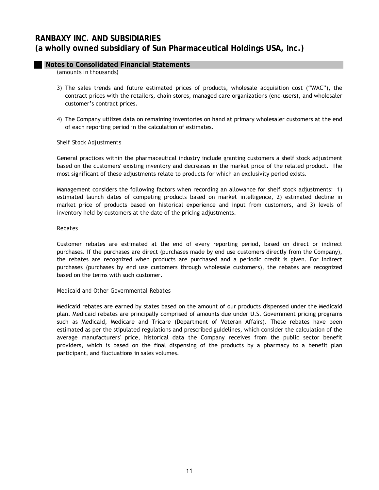#### **Notes to Consolidated Financial Statements**

*(amounts in thousands)*

- 3) The sales trends and future estimated prices of products, wholesale acquisition cost ("WAC"), the contract prices with the retailers, chain stores, managed care organizations (end-users), and wholesaler customer's contract prices.
- 4) The Company utilizes data on remaining inventories on hand at primary wholesaler customers at the end of each reporting period in the calculation of estimates.

#### *Shelf Stock Adjustments*

General practices within the pharmaceutical industry include granting customers a shelf stock adjustment based on the customers' existing inventory and decreases in the market price of the related product. The most significant of these adjustments relate to products for which an exclusivity period exists.

Management considers the following factors when recording an allowance for shelf stock adjustments: 1) estimated launch dates of competing products based on market intelligence, 2) estimated decline in market price of products based on historical experience and input from customers, and 3) levels of inventory held by customers at the date of the pricing adjustments.

#### *Rebates*

Customer rebates are estimated at the end of every reporting period, based on direct or indirect purchases. If the purchases are direct (purchases made by end use customers directly from the Company), the rebates are recognized when products are purchased and a periodic credit is given. For indirect purchases (purchases by end use customers through wholesale customers), the rebates are recognized based on the terms with such customer.

#### *Medicaid and Other Governmental Rebates*

Medicaid rebates are earned by states based on the amount of our products dispensed under the Medicaid plan. Medicaid rebates are principally comprised of amounts due under U.S. Government pricing programs such as Medicaid, Medicare and Tricare (Department of Veteran Affairs). These rebates have been estimated as per the stipulated regulations and prescribed guidelines, which consider the calculation of the average manufacturers' price, historical data the Company receives from the public sector benefit providers, which is based on the final dispensing of the products by a pharmacy to a benefit plan participant, and fluctuations in sales volumes.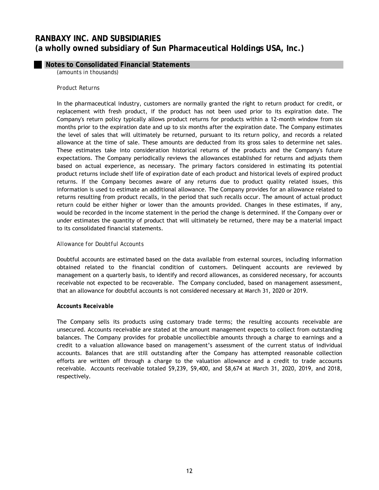## **Notes to Consolidated Financial Statements**

*(amounts in thousands)*

#### *Product Returns*

In the pharmaceutical industry, customers are normally granted the right to return product for credit, or replacement with fresh product, if the product has not been used prior to its expiration date. The Company's return policy typically allows product returns for products within a 12-month window from six months prior to the expiration date and up to six months after the expiration date. The Company estimates the level of sales that will ultimately be returned, pursuant to its return policy, and records a related allowance at the time of sale. These amounts are deducted from its gross sales to determine net sales. These estimates take into consideration historical returns of the products and the Company's future expectations. The Company periodically reviews the allowances established for returns and adjusts them based on actual experience, as necessary. The primary factors considered in estimating its potential product returns include shelf life of expiration date of each product and historical levels of expired product returns. If the Company becomes aware of any returns due to product quality related issues, this information is used to estimate an additional allowance. The Company provides for an allowance related to returns resulting from product recalls, in the period that such recalls occur. The amount of actual product return could be either higher or lower than the amounts provided. Changes in these estimates, if any, would be recorded in the income statement in the period the change is determined. If the Company over or under estimates the quantity of product that will ultimately be returned, there may be a material impact to its consolidated financial statements.

#### *Allowance for Doubtful Accounts*

Doubtful accounts are estimated based on the data available from external sources, including information obtained related to the financial condition of customers. Delinquent accounts are reviewed by management on a quarterly basis, to identify and record allowances, as considered necessary, for accounts receivable not expected to be recoverable. The Company concluded, based on management assessment, that an allowance for doubtful accounts is not considered necessary at March 31, 2020 or 2019.

#### *Accounts Receivable*

The Company sells its products using customary trade terms; the resulting accounts receivable are unsecured. Accounts receivable are stated at the amount management expects to collect from outstanding balances. The Company provides for probable uncollectible amounts through a charge to earnings and a credit to a valuation allowance based on management's assessment of the current status of individual accounts. Balances that are still outstanding after the Company has attempted reasonable collection efforts are written off through a charge to the valuation allowance and a credit to trade accounts receivable. Accounts receivable totaled \$9,239, \$9,400, and \$8,674 at March 31, 2020, 2019, and 2018, respectively.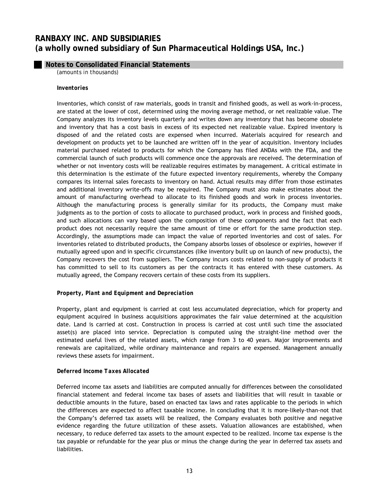#### **Notes to Consolidated Financial Statements**

*(amounts in thousands)*

#### *Inventories*

Inventories, which consist of raw materials, goods in transit and finished goods, as well as work-in-process, are stated at the lower of cost, determined using the moving average method, or net realizable value. The Company analyzes its inventory levels quarterly and writes down any inventory that has become obsolete and inventory that has a cost basis in excess of its expected net realizable value. Expired inventory is disposed of and the related costs are expensed when incurred. Materials acquired for research and development on products yet to be launched are written off in the year of acquisition. Inventory includes material purchased related to products for which the Company has filed ANDAs with the FDA, and the commercial launch of such products will commence once the approvals are received. The determination of whether or not inventory costs will be realizable requires estimates by management. A critical estimate in this determination is the estimate of the future expected inventory requirements, whereby the Company compares its internal sales forecasts to inventory on hand. Actual results may differ from those estimates and additional inventory write-offs may be required. The Company must also make estimates about the amount of manufacturing overhead to allocate to its finished goods and work in process inventories. Although the manufacturing process is generally similar for its products, the Company must make judgments as to the portion of costs to allocate to purchased product, work in process and finished goods, and such allocations can vary based upon the composition of these components and the fact that each product does not necessarily require the same amount of time or effort for the same production step. Accordingly, the assumptions made can impact the value of reported inventories and cost of sales. For inventories related to distributed products, the Company absorbs losses of obsolesce or expiries, however if mutually agreed upon and in specific circumstances (like inventory built up on launch of new products), the Company recovers the cost from suppliers. The Company incurs costs related to non-supply of products it has committed to sell to its customers as per the contracts it has entered with these customers. As mutually agreed, the Company recovers certain of these costs from its suppliers.

#### *Property, Plant and Equipment and Depreciation*

Property, plant and equipment is carried at cost less accumulated depreciation, which for property and equipment acquired in business acquisitions approximates the fair value determined at the acquisition date. Land is carried at cost. Construction in process is carried at cost until such time the associated asset(s) are placed into service. Depreciation is computed using the straight-line method over the estimated useful lives of the related assets, which range from 3 to 40 years. Major improvements and renewals are capitalized, while ordinary maintenance and repairs are expensed. Management annually reviews these assets for impairment.

#### *Deferred Income Taxes Allocated*

Deferred income tax assets and liabilities are computed annually for differences between the consolidated financial statement and federal income tax bases of assets and liabilities that will result in taxable or deductible amounts in the future, based on enacted tax laws and rates applicable to the periods in which the differences are expected to affect taxable income. In concluding that it is more-likely-than-not that the Company's deferred tax assets will be realized, the Company evaluates both positive and negative evidence regarding the future utilization of these assets. Valuation allowances are established, when necessary, to reduce deferred tax assets to the amount expected to be realized. Income tax expense is the tax payable or refundable for the year plus or minus the change during the year in deferred tax assets and liabilities.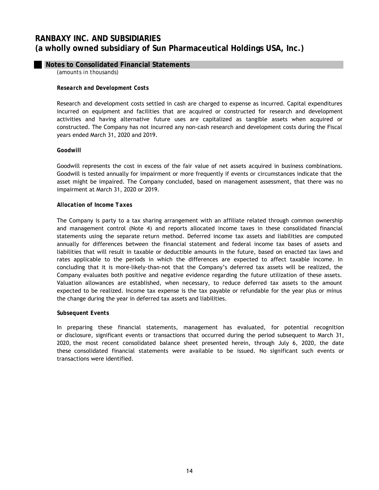### **Notes to Consolidated Financial Statements**

*(amounts in thousands)*

#### *Research and Development Costs*

Research and development costs settled in cash are charged to expense as incurred. Capital expenditures incurred on equipment and facilities that are acquired or constructed for research and development activities and having alternative future uses are capitalized as tangible assets when acquired or constructed. The Company has not incurred any non-cash research and development costs during the Fiscal years ended March 31, 2020 and 2019.

#### *Goodwill*

Goodwill represents the cost in excess of the fair value of net assets acquired in business combinations. Goodwill is tested annually for impairment or more frequently if events or circumstances indicate that the asset might be impaired. The Company concluded, based on management assessment, that there was no impairment at March 31, 2020 or 2019.

#### *Allocation of Income Taxes*

The Company is party to a tax sharing arrangement with an affiliate related through common ownership and management control (Note 4) and reports allocated income taxes in these consolidated financial statements using the separate return method. Deferred income tax assets and liabilities are computed annually for differences between the financial statement and federal income tax bases of assets and liabilities that will result in taxable or deductible amounts in the future, based on enacted tax laws and rates applicable to the periods in which the differences are expected to affect taxable income. In concluding that it is more-likely-than-not that the Company's deferred tax assets will be realized, the Company evaluates both positive and negative evidence regarding the future utilization of these assets. Valuation allowances are established, when necessary, to reduce deferred tax assets to the amount expected to be realized. Income tax expense is the tax payable or refundable for the year plus or minus the change during the year in deferred tax assets and liabilities.

#### *Subsequent Events*

In preparing these financial statements, management has evaluated, for potential recognition or disclosure, significant events or transactions that occurred during the period subsequent to March 31, 2020, the most recent consolidated balance sheet presented herein, through July 6, 2020, the date these consolidated financial statements were available to be issued. No significant such events or transactions were identified.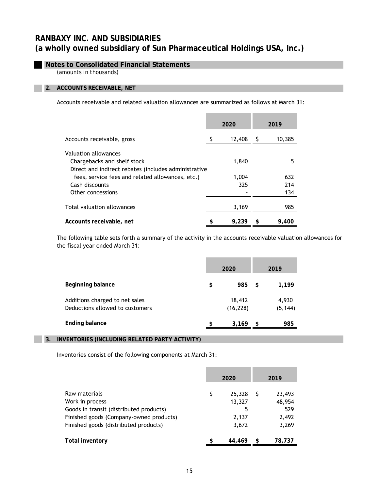## **Notes to Consolidated Financial Statements**

*(amounts in thousands)*

#### **2. ACCOUNTS RECEIVABLE, NET**

Accounts receivable and related valuation allowances are summarized as follows at March 31:

|                                                      | 2020 |        | 2019 |        |
|------------------------------------------------------|------|--------|------|--------|
| Accounts receivable, gross                           |      | 12,408 | S    | 10,385 |
| Valuation allowances                                 |      |        |      |        |
| Chargebacks and shelf stock                          |      | 1,840  |      | 5      |
| Direct and indirect rebates (includes administrative |      |        |      |        |
| fees, service fees and related allowances, etc.)     |      | 1,004  |      | 632    |
| Cash discounts                                       |      | 325    |      | 214    |
| Other concessions                                    |      |        |      | 134    |
| Total valuation allowances                           |      | 3,169  |      | 985    |
| Accounts receivable, net                             | \$   | 9.239  | \$   | 9,400  |

The following table sets forth a summary of the activity in the accounts receivable valuation allowances for the fiscal year ended March 31:

|                                                                   | 2020                | 2019              |
|-------------------------------------------------------------------|---------------------|-------------------|
| <b>Beginning balance</b>                                          | \$<br>985 \$        | 1,199             |
| Additions charged to net sales<br>Deductions allowed to customers | 18,412<br>(16, 228) | 4,930<br>(5, 144) |
| <b>Ending balance</b>                                             | 3,169               | \$<br>985         |

#### **3. INVENTORIES (INCLUDING RELATED PARTY ACTIVITY)**

Inventories consist of the following components at March 31:

|                                                                                                                             | 2020 |                     |    | 2019                  |
|-----------------------------------------------------------------------------------------------------------------------------|------|---------------------|----|-----------------------|
| Raw materials<br>Work in process                                                                                            |      | 25,328<br>13,327    | S  | 23,493<br>48,954      |
| Goods in transit (distributed products)<br>Finished goods (Company-owned products)<br>Finished goods (distributed products) |      | 5<br>2,137<br>3,672 |    | 529<br>2,492<br>3,269 |
| <b>Total inventory</b>                                                                                                      |      | 44,469              | \$ | 78,737                |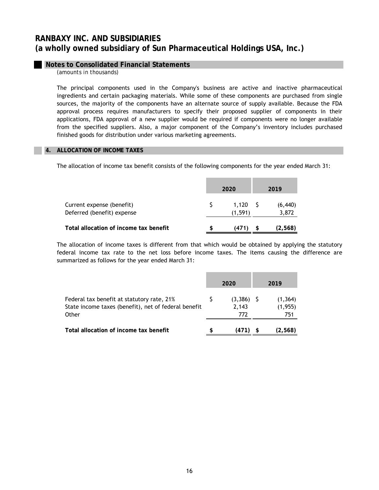## **Notes to Consolidated Financial Statements**

*(amounts in thousands)*

The principal components used in the Company's business are active and inactive pharmaceutical ingredients and certain packaging materials. While some of these components are purchased from single sources, the majority of the components have an alternate source of supply available. Because the FDA approval process requires manufacturers to specify their proposed supplier of components in their applications, FDA approval of a new supplier would be required if components were no longer available from the specified suppliers. Also, a major component of the Company's inventory includes purchased finished goods for distribution under various marketing agreements.

#### **4. ALLOCATION OF INCOME TAXES**

The allocation of income tax benefit consists of the following components for the year ended March 31:

|                                                         | 2020                   | 2019              |
|---------------------------------------------------------|------------------------|-------------------|
| Current expense (benefit)<br>Deferred (benefit) expense | $1,120$ \$<br>(1, 591) | (6, 440)<br>3,872 |
| Total allocation of income tax benefit                  | 471                    | (2,568)           |

The allocation of income taxes is different from that which would be obtained by applying the statutory federal income tax rate to the net loss before income taxes. The items causing the difference are summarized as follows for the year ended March 31:

|                                                                                                             |   | 2020                        | 2019                        |
|-------------------------------------------------------------------------------------------------------------|---|-----------------------------|-----------------------------|
| Federal tax benefit at statutory rate, 21%<br>State income taxes (benefit), net of federal benefit<br>Other |   | $(3,386)$ S<br>2,143<br>772 | (1, 364)<br>(1, 955)<br>751 |
| Total allocation of income tax benefit                                                                      | S | (471)                       | (2,568)                     |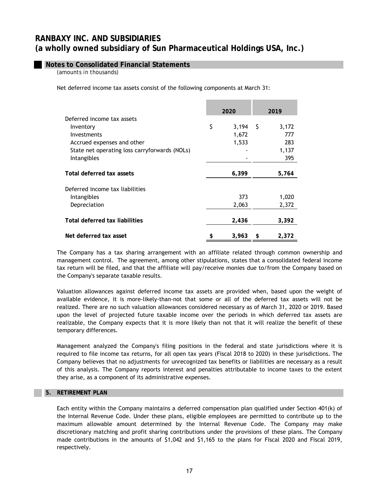#### **Notes to Consolidated Financial Statements**

*(amounts in thousands)*

Net deferred income tax assets consist of the following components at March 31:

|                                                                                                                                                      | 2020                          |     | 2019                                |
|------------------------------------------------------------------------------------------------------------------------------------------------------|-------------------------------|-----|-------------------------------------|
| Deferred income tax assets<br>Inventory<br>Investments<br>Accrued expenses and other<br>State net operating loss carryforwards (NOLs)<br>Intangibles | \$<br>3,194<br>1,672<br>1,533 | - S | 3,172<br>777<br>283<br>1,137<br>395 |
| Total deferred tax assets                                                                                                                            | 6,399                         |     | 5,764                               |
| Deferred income tax liabilities<br><i>Intangibles</i><br>Depreciation                                                                                | 373<br>2,063                  |     | 1,020<br>2,372                      |
| Total deferred tax liabilities                                                                                                                       | 2,436                         |     | 3,392                               |
| Net deferred tax asset                                                                                                                               | \$<br>3,963                   | \$  | 2,372                               |

The Company has a tax sharing arrangement with an affiliate related through common ownership and management control. The agreement, among other stipulations, states that a consolidated federal income tax return will be filed, and that the affiliate will pay/receive monies due to/from the Company based on the Company's separate taxable results.

Valuation allowances against deferred income tax assets are provided when, based upon the weight of available evidence, it is more-likely-than-not that some or all of the deferred tax assets will not be realized. There are no such valuation allowances considered necessary as of March 31, 2020 or 2019. Based upon the level of projected future taxable income over the periods in which deferred tax assets are realizable, the Company expects that it is more likely than not that it will realize the benefit of these temporary differences.

Management analyzed the Company's filing positions in the federal and state jurisdictions where it is required to file income tax returns, for all open tax years (Fiscal 2018 to 2020) in these jurisdictions. The Company believes that no adjustments for unrecognized tax benefits or liabilities are necessary as a result of this analysis. The Company reports interest and penalties attributable to income taxes to the extent they arise, as a component of its administrative expenses.

#### **5. RETIREMENT PLAN**

Each entity within the Company maintains a deferred compensation plan qualified under Section 401(k) of the Internal Revenue Code. Under these plans, eligible employees are permitted to contribute up to the maximum allowable amount determined by the Internal Revenue Code. The Company may make discretionary matching and profit sharing contributions under the provisions of these plans. The Company made contributions in the amounts of \$1,042 and \$1,165 to the plans for Fiscal 2020 and Fiscal 2019, respectively.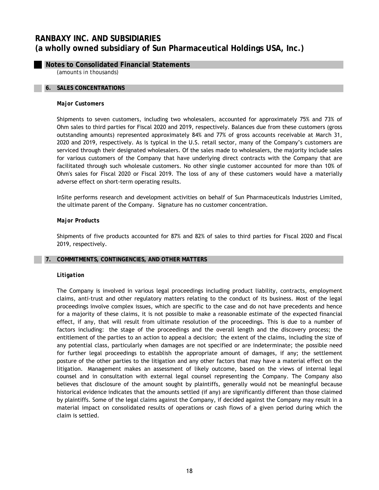#### **Notes to Consolidated Financial Statements**

*(amounts in thousands)*

#### **6. SALES CONCENTRATIONS**

#### *Major Customers*

Shipments to seven customers, including two wholesalers, accounted for approximately 75% and 73% of Ohm sales to third parties for Fiscal 2020 and 2019, respectively. Balances due from these customers (gross outstanding amounts) represented approximately 84% and 77% of gross accounts receivable at March 31, 2020 and 2019, respectively. As is typical in the U.S. retail sector, many of the Company's customers are serviced through their designated wholesalers. Of the sales made to wholesalers, the majority include sales for various customers of the Company that have underlying direct contracts with the Company that are facilitated through such wholesale customers. No other single customer accounted for more than 10% of Ohm's sales for Fiscal 2020 or Fiscal 2019. The loss of any of these customers would have a materially adverse effect on short-term operating results.

InSite performs research and development activities on behalf of Sun Pharmaceuticals Industries Limited, the ultimate parent of the Company. Signature has no customer concentration.

#### *Major Products*

Shipments of five products accounted for 87% and 82% of sales to third parties for Fiscal 2020 and Fiscal 2019, respectively.

#### **7. COMMITMENTS, CONTINGENCIES, AND OTHER MATTERS**

#### *Litigation*

The Company is involved in various legal proceedings including product liability, contracts, employment claims, anti-trust and other regulatory matters relating to the conduct of its business. Most of the legal proceedings involve complex issues, which are specific to the case and do not have precedents and hence for a majority of these claims, it is not possible to make a reasonable estimate of the expected financial effect, if any, that will result from ultimate resolution of the proceedings. This is due to a number of factors including: the stage of the proceedings and the overall length and the discovery process; the entitlement of the parties to an action to appeal a decision; the extent of the claims, including the size of any potential class, particularly when damages are not specified or are indeterminate; the possible need for further legal proceedings to establish the appropriate amount of damages, if any; the settlement posture of the other parties to the litigation and any other factors that may have a material effect on the litigation. Management makes an assessment of likely outcome, based on the views of internal legal counsel and in consultation with external legal counsel representing the Company. The Company also believes that disclosure of the amount sought by plaintiffs, generally would not be meaningful because historical evidence indicates that the amounts settled (if any) are significantly different than those claimed by plaintiffs. Some of the legal claims against the Company, if decided against the Company may result in a material impact on consolidated results of operations or cash flows of a given period during which the claim is settled.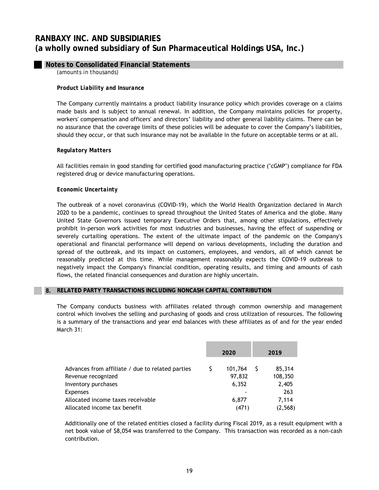#### **Notes to Consolidated Financial Statements**

*(amounts in thousands)*

#### *Product Liability and Insurance*

The Company currently maintains a product liability insurance policy which provides coverage on a claims made basis and is subject to annual renewal. In addition, the Company maintains policies for property, workers' compensation and officers' and directors' liability and other general liability claims. There can be no assurance that the coverage limits of these policies will be adequate to cover the Company's liabilities, should they occur, or that such insurance may not be available in the future on acceptable terms or at all.

#### *Regulatory Matters*

All facilities remain in good standing for certified good manufacturing practice ("cGMP") compliance for FDA registered drug or device manufacturing operations.

#### *Economic Uncertainty*

The outbreak of a novel coronavirus (COVID-19), which the World Health Organization declared in March 2020 to be a pandemic, continues to spread throughout the United States of America and the globe. Many United State Governors issued temporary Executive Orders that, among other stipulations, effectively prohibit in-person work activities for most industries and businesses, having the effect of suspending or severely curtailing operations. The extent of the ultimate impact of the pandemic on the Company's operational and financial performance will depend on various developments, including the duration and spread of the outbreak, and its impact on customers, employees, and vendors, all of which cannot be reasonably predicted at this time. While management reasonably expects the COVID-19 outbreak to negatively impact the Company's financial condition, operating results, and timing and amounts of cash flows, the related financial consequences and duration are highly uncertain.

#### **8. RELATED PARTY TRANSACTIONS INCLUDING NONCASH CAPITAL CONTRIBUTION**

The Company conducts business with affiliates related through common ownership and management control which involves the selling and purchasing of goods and cross utilization of resources. The following is a summary of the transactions and year end balances with these affiliates as of and for the year ended March 31:

|                                                  | 2020    |              | 2019     |
|--------------------------------------------------|---------|--------------|----------|
| Advances from affiliate / due to related parties | 101,764 | <sub>S</sub> | 85,314   |
| Revenue recognized                               | 97,832  |              | 108,350  |
| Inventory purchases                              | 6,352   |              | 2,405    |
| <b>Expenses</b>                                  |         |              | 263      |
| Allocated income taxes receivable                | 6,877   |              | 7,114    |
| Allocated income tax benefit                     | (471)   |              | (2, 568) |

Additionally one of the related entities closed a facility during Fiscal 2019, as a result equipment with a net book value of \$8,054 was transferred to the Company. This transaction was recorded as a non-cash contribution.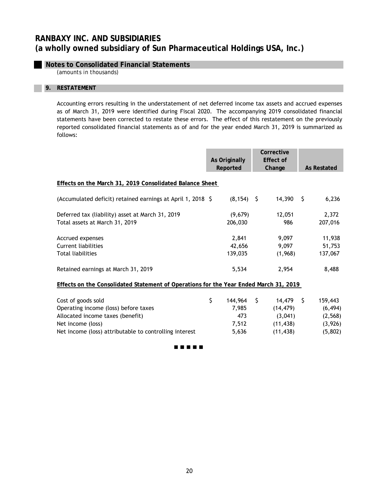## **Notes to Consolidated Financial Statements**

*(amounts in thousands)*

#### **9. RESTATEMENT**

Accounting errors resulting in the understatement of net deferred income tax assets and accrued expenses as of March 31, 2019 were identified during Fiscal 2020. The accompanying 2019 consolidated financial statements have been corrected to restate these errors. The effect of this restatement on the previously reported consolidated financial statements as of and for the year ended March 31, 2019 is summarized as follows:

|                                                                                                                                                                               | As Originally<br>Reported                            | Corrective<br><b>Effect of</b><br>Change                 | <b>As Restated</b>                                          |
|-------------------------------------------------------------------------------------------------------------------------------------------------------------------------------|------------------------------------------------------|----------------------------------------------------------|-------------------------------------------------------------|
| Effects on the March 31, 2019 Consolidated Balance Sheet                                                                                                                      |                                                      |                                                          |                                                             |
| (Accumulated deficit) retained earnings at April 1, 2018 \$                                                                                                                   | $(8, 154)$ \$                                        | $14,390$ \$                                              | 6,236                                                       |
| Deferred tax (liability) asset at March 31, 2019<br>Total assets at March 31, 2019                                                                                            | (9,679)<br>206,030                                   | 12,051<br>986                                            | 2,372<br>207,016                                            |
| Accrued expenses<br>Current liabilities<br><b>Total liabilities</b>                                                                                                           | 2,841<br>42,656<br>139,035                           | 9,097<br>9,097<br>(1,968)                                | 11,938<br>51,753<br>137,067                                 |
| Retained earnings at March 31, 2019                                                                                                                                           | 5,534                                                | 2,954                                                    | 8,488                                                       |
| <b>Effects on the Consolidated Statement of Operations for the Year Ended March 31, 2019</b>                                                                                  |                                                      |                                                          |                                                             |
| Cost of goods sold<br>Operating income (loss) before taxes<br>Allocated income taxes (benefit)<br>Net income (loss)<br>Net income (loss) attributable to controlling interest | \$<br>$144,964$ \$<br>7,985<br>473<br>7,512<br>5,636 | 14,479<br>(14, 479)<br>(3,041)<br>(11, 438)<br>(11, 438) | S.<br>159,443<br>(6, 494)<br>(2, 568)<br>(3,926)<br>(5,802) |

. . . . .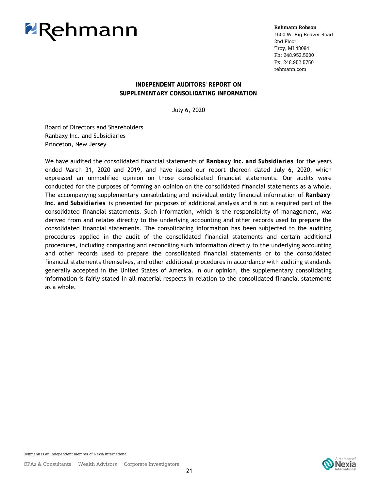# **PRehmann**

**Rehmann Robson**

1500 W. Big Beaver Road 2nd Floor Troy, MI 48084 Ph: 248.952.5000 Fx: 248.952.5750 rehmann.com

## **INDEPENDENT AUDITORS' REPORT ON SUPPLEMENTARY CONSOLIDATING INFORMATION**

July 6, 2020

 Ranbaxy Inc. and Subsidiaries Board of Directors and Shareholders Princeton, New Jersey

We have audited the consolidated financial statements of *Ranbaxy Inc. and Subsidiaries* for the years ended March 31, 2020 and 2019, and have issued our report thereon dated July 6, 2020, which expressed an unmodified opinion on those consolidated financial statements. Our audits were conducted for the purposes of forming an opinion on the consolidated financial statements as a whole. The accompanying supplementary consolidating and individual entity financial information of *Ranbaxy Inc. and Subsidiaries* is presented for purposes of additional analysis and is not a required part of the consolidated financial statements. Such information, which is the responsibility of management, was derived from and relates directly to the underlying accounting and other records used to prepare the consolidated financial statements. The consolidating information has been subjected to the auditing procedures applied in the audit of the consolidated financial statements and certain additional procedures, including comparing and reconciling such information directly to the underlying accounting and other records used to prepare the consolidated financial statements or to the consolidated financial statements themselves, and other additional procedures in accordance with auditing standards generally accepted in the United States of America. In our opinion, the supplementary consolidating information is fairly stated in all material respects in relation to the consolidated financial statements as a whole.

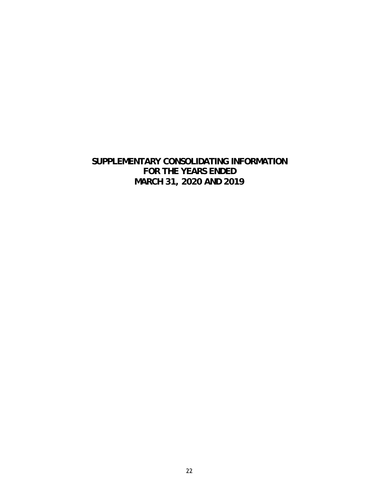# **SUPPLEMENTARY CONSOLIDATING INFORMATION FOR THE YEARS ENDED MARCH 31, 2020 AND 2019**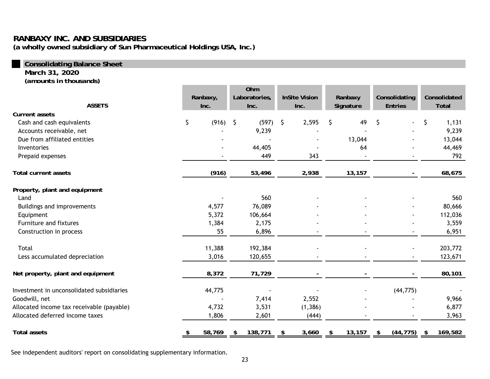**(a wholly owned subsidiary of Sun Pharmaceutical Holdings USA, Inc.)**

| <b>Consolidating Balance Sheet</b>        |                  |               |                      |           |                |              |
|-------------------------------------------|------------------|---------------|----------------------|-----------|----------------|--------------|
| March 31, 2020                            |                  |               |                      |           |                |              |
| (amounts in thousands)                    |                  |               |                      |           |                |              |
|                                           |                  | Ohm           |                      |           |                |              |
|                                           | Ranbaxy,         | Laboratories, | <b>InSite Vision</b> | Ranbaxy   | Consolidating  | Consolidated |
| <b>ASSETS</b>                             | Inc.             | Inc.          | Inc.                 | Signature | <b>Entries</b> | <b>Total</b> |
| <b>Current assets</b>                     |                  |               |                      |           |                |              |
| Cash and cash equivalents                 | \$<br>$(916)$ \$ | (597)         | 2,595<br>$\zeta$     | 49<br>\$  | \$             | \$<br>1,131  |
| Accounts receivable, net                  |                  | 9,239         |                      |           |                | 9,239        |
| Due from affiliated entities              |                  |               |                      | 13,044    |                | 13,044       |
| Inventories                               |                  | 44,405        |                      | 64        |                | 44,469       |
| Prepaid expenses                          |                  | 449           | 343                  |           |                | 792          |
| <b>Total current assets</b>               | (916)            | 53,496        | 2,938                | 13,157    |                | 68,675       |
| Property, plant and equipment             |                  |               |                      |           |                |              |
| Land                                      |                  | 560           |                      |           |                | 560          |
| Buildings and improvements                | 4,577            | 76,089        |                      |           |                | 80,666       |
| Equipment                                 | 5,372            | 106,664       |                      |           |                | 112,036      |
| Furniture and fixtures                    | 1,384            | 2,175         |                      |           |                | 3,559        |
| Construction in process                   | 55               | 6,896         |                      |           |                | 6,951        |
| Total                                     | 11,388           | 192,384       |                      |           |                | 203,772      |
| Less accumulated depreciation             | 3,016            | 120,655       |                      |           |                | 123,671      |
| Net property, plant and equipment         | 8,372            | 71,729        |                      |           |                | 80,101       |
| Investment in unconsolidated subsidiaries | 44,775           |               |                      |           | (44, 775)      |              |
| Goodwill, net                             |                  | 7,414         | 2,552                |           |                | 9,966        |
| Allocated income tax receivable (payable) | 4,732            | 3,531         | (1, 386)             |           |                | 6,877        |
| Allocated deferred income taxes           | 1,806            | 2,601         | (444)                |           |                | 3,963        |

**Total assets 58,769 \$ 138,771 \$ 3,660 \$ 13,157 \$ (44,775) \$ 169,582 \$**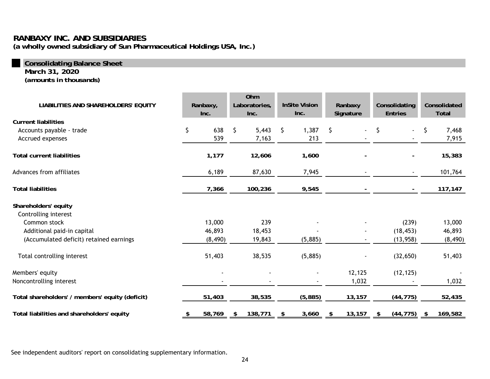**(a wholly owned subsidiary of Sun Pharmaceutical Holdings USA, Inc.)**

**Consolidating Balance Sheet March 31, 2020** *(amounts in thousands)*

| <b>LIABILITIES AND SHAREHOLDERS' EQUITY</b>     | Ranbaxy,<br>Inc. | Ohm<br>Laboratories,<br>Inc. | <b>InSite Vision</b><br>Inc. | Ranbaxy<br>Signature | Consolidating<br><b>Entries</b> | Consolidated<br><b>Total</b> |  |
|-------------------------------------------------|------------------|------------------------------|------------------------------|----------------------|---------------------------------|------------------------------|--|
| <b>Current liabilities</b>                      |                  |                              |                              |                      |                                 |                              |  |
| Accounts payable - trade<br>Accrued expenses    | 638<br>\$<br>539 | 5,443<br>S.<br>7,163         | 1,387<br>\$<br>213           | \$<br>$\sim$         | $\zeta$<br>$\sim$               | \$<br>7,468<br>7,915         |  |
| <b>Total current liabilities</b>                | 1,177            | 12,606                       | 1,600                        |                      |                                 | 15,383                       |  |
| Advances from affiliates                        | 6,189            | 87,630                       | 7,945                        |                      |                                 | 101,764                      |  |
| <b>Total liabilities</b>                        | 7,366            | 100,236                      | 9,545                        |                      | $\overline{\phantom{a}}$        | 117,147                      |  |
| Shareholders' equity                            |                  |                              |                              |                      |                                 |                              |  |
| Controlling interest                            |                  |                              |                              |                      |                                 |                              |  |
| Common stock                                    | 13,000           | 239                          |                              |                      | (239)                           | 13,000                       |  |
| Additional paid-in capital                      | 46,893           | 18,453                       |                              |                      | (18, 453)                       | 46,893                       |  |
| (Accumulated deficit) retained earnings         | (8, 490)         | 19,843                       | (5,885)                      |                      | (13, 958)                       | (8, 490)                     |  |
| Total controlling interest                      | 51,403           | 38,535                       | (5,885)                      |                      | (32, 650)                       | 51,403                       |  |
| Members' equity                                 |                  |                              |                              | 12,125               | (12, 125)                       |                              |  |
| Noncontrolling interest                         |                  |                              |                              | 1,032                |                                 | 1,032                        |  |
| Total shareholders' / members' equity (deficit) | 51,403           | 38,535                       | (5,885)                      | 13,157               | (44, 775)                       | 52,435                       |  |
| Total liabilities and shareholders' equity      | 58,769<br>\$     | 138,771<br>\$                | 3,660<br>\$                  | 13,157<br>\$         | (44, 775)<br>\$                 | 169,582<br>\$                |  |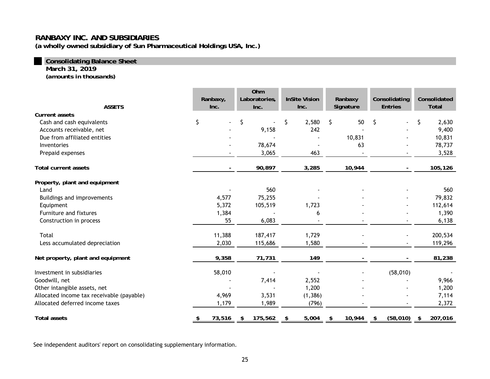**(a wholly owned subsidiary of Sun Pharmaceutical Holdings USA, Inc.)**

## **Consolidating Balance Sheet**

**March 31, 2019** *(amounts in thousands)*

|                                           |                  | Ohm           | <b>InSite Vision</b> | Ranbaxy      |                                 |                       |  |
|-------------------------------------------|------------------|---------------|----------------------|--------------|---------------------------------|-----------------------|--|
| <b>ASSETS</b>                             | Ranbaxy,<br>Inc. | Laboratories, | Inc.<br>Inc.         |              | Consolidating<br><b>Entries</b> | Consolidated<br>Total |  |
| <b>Current assets</b>                     |                  |               |                      | Signature    |                                 |                       |  |
| Cash and cash equivalents                 | \$               | \$            | 2,580<br>\$          | 50<br>\$     | \$                              | \$<br>2,630           |  |
| Accounts receivable, net                  |                  | 9,158         | 242                  |              |                                 | 9,400                 |  |
| Due from affiliated entities              |                  |               |                      | 10,831       |                                 | 10,831                |  |
| Inventories                               |                  | 78,674        |                      | 63           |                                 | 78,737                |  |
| Prepaid expenses                          |                  | 3,065         | 463                  |              |                                 | 3,528                 |  |
| <b>Total current assets</b>               |                  | 90,897        | 3,285                | 10,944       |                                 | 105,126               |  |
| Property, plant and equipment             |                  |               |                      |              |                                 |                       |  |
| Land                                      |                  | 560           |                      |              |                                 | 560                   |  |
| Buildings and improvements                | 4,577            | 75,255        |                      |              |                                 | 79,832                |  |
| Equipment                                 | 5,372            | 105,519       | 1,723                |              |                                 | 112,614               |  |
| Furniture and fixtures                    | 1,384            |               | 6                    |              |                                 | 1,390                 |  |
| Construction in process                   | 55               | 6,083         |                      |              |                                 | 6,138                 |  |
| Total                                     | 11,388           | 187,417       | 1,729                |              |                                 | 200,534               |  |
| Less accumulated depreciation             | 2,030            | 115,686       | 1,580                |              |                                 | 119,296               |  |
| Net property, plant and equipment         | 9,358            | 71,731        | 149                  |              |                                 | 81,238                |  |
| Investment in subsidiaries                | 58,010           |               |                      |              | (58,010)                        |                       |  |
| Goodwill, net                             |                  | 7,414         | 2,552                |              |                                 | 9,966                 |  |
| Other intangible assets, net              |                  |               | 1,200                |              |                                 | 1,200                 |  |
| Allocated income tax receivable (payable) | 4,969            | 3,531         | (1, 386)             |              |                                 | 7,114                 |  |
| Allocated deferred income taxes           | 1,179            | 1,989         | (796)                |              |                                 | 2,372                 |  |
| <b>Total assets</b>                       | 73,516           | 175,562       | 5,004<br>\$          | 10,944<br>\$ | (58, 010)<br>\$                 | 207,016<br>\$         |  |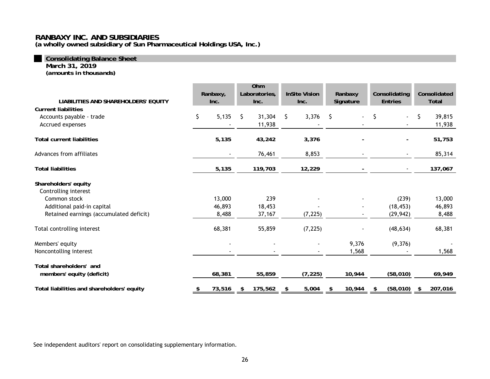**(a wholly owned subsidiary of Sun Pharmaceutical Holdings USA, Inc.)**

## **Consolidating Balance Sheet**

**March 31, 2019** *(amounts in thousands)*

| LIABILITIES AND SHAREHOLDERS' EQUITY                   | Ranbaxy,<br>Inc. | Ohm<br>Laboratories,<br>Inc. |    | <b>InSite Vision</b><br>Inc. |     | Ranbaxy<br>Signature | Consolidating<br><b>Entries</b> | Consolidated<br><b>Total</b> |         |
|--------------------------------------------------------|------------------|------------------------------|----|------------------------------|-----|----------------------|---------------------------------|------------------------------|---------|
| <b>Current liabilities</b><br>Accounts payable - trade | \$<br>5,135      | \$<br>31,304                 | S. | 3,376                        | -\$ | $\sim$               | \$<br>$\blacksquare$            | \$                           | 39,815  |
| Accrued expenses                                       |                  | 11,938                       |    |                              |     |                      |                                 |                              | 11,938  |
| <b>Total current liabilities</b>                       | 5,135            | 43,242                       |    | 3,376                        |     |                      |                                 |                              | 51,753  |
| Advances from affiliates                               |                  | 76,461                       |    | 8,853                        |     |                      |                                 |                              | 85,314  |
| <b>Total liabilities</b>                               | 5,135            | 119,703                      |    | 12,229                       |     |                      | $\blacksquare$                  |                              | 137,067 |
| Shareholders' equity<br>Controlling interest           |                  |                              |    |                              |     |                      |                                 |                              |         |
| Common stock                                           | 13,000           | 239                          |    |                              |     |                      | (239)                           |                              | 13,000  |
| Additional paid-in capital                             | 46,893           | 18,453                       |    |                              |     |                      | (18, 453)                       |                              | 46,893  |
| Retained earnings (accumulated deficit)                | 8,488            | 37,167                       |    | (7, 225)                     |     |                      | (29, 942)                       |                              | 8,488   |
| Total controlling interest                             | 68,381           | 55,859                       |    | (7, 225)                     |     |                      | (48, 634)                       |                              | 68,381  |
| Members' equity                                        |                  |                              |    |                              |     | 9,376                | (9,376)                         |                              |         |
| Noncontolling interest                                 |                  |                              |    |                              |     | 1,568                |                                 |                              | 1,568   |
| Total shareholders' and                                |                  |                              |    |                              |     |                      |                                 |                              |         |
| members' equity (deficit)                              | 68,381           | 55,859                       |    | (7, 225)                     |     | 10,944               | (58, 010)                       |                              | 69,949  |
| Total liabilities and shareholders' equity             | \$<br>73,516     | \$<br>175,562                | \$ | 5,004                        | \$  | 10,944               | \$<br>(58, 010)                 | S                            | 207,016 |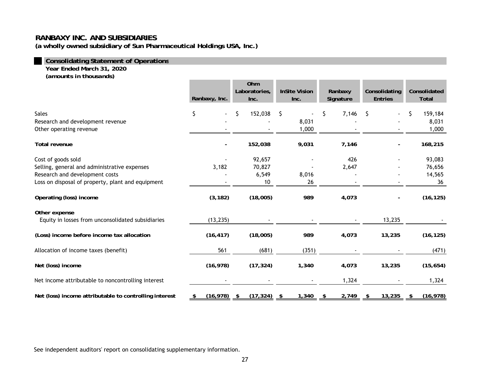**(a wholly owned subsidiary of Sun Pharmaceutical Holdings USA, Inc.)**

## **Consolidating Statement of Operations**

**Year Ended March 31, 2020**

*(amounts in thousands)*

|                                                             | Ranbaxy, Inc.   | Ohm<br>Laboratories,<br>Inc. | <b>InSite Vision</b><br>Inc. | Ranbaxy<br>Signature | Consolidating<br><b>Entries</b> | Consolidated<br><b>Total</b> |
|-------------------------------------------------------------|-----------------|------------------------------|------------------------------|----------------------|---------------------------------|------------------------------|
| <b>Sales</b>                                                | \$<br>$\sim$    | \$<br>152,038                | -Ŝ                           | \$<br>7,146          | <sub>S</sub>                    | \$<br>159,184                |
| Research and development revenue<br>Other operating revenue |                 |                              | 8,031<br>1,000               |                      |                                 | 8,031<br>1,000               |
| <b>Total revenue</b>                                        |                 | 152,038                      | 9,031                        | 7,146                |                                 | 168,215                      |
| Cost of goods sold                                          |                 | 92,657                       |                              | 426                  |                                 | 93,083                       |
| Selling, general and administrative expenses                | 3,182           | 70,827                       |                              | 2,647                |                                 | 76,656                       |
| Research and development costs                              |                 | 6,549                        | 8,016                        |                      |                                 | 14,565                       |
| Loss on disposal of property, plant and equipment           |                 | 10                           | 26                           |                      |                                 | 36                           |
| Operating (loss) income                                     | (3, 182)        | (18,005)                     | 989                          | 4,073                |                                 | (16, 125)                    |
| Other expense                                               |                 |                              |                              |                      |                                 |                              |
| Equity in losses from unconsolidated subsidiaries           | (13, 235)       |                              |                              |                      | 13,235                          |                              |
| (Loss) income before income tax allocation                  | (16, 417)       | (18,005)                     | 989                          | 4,073                | 13,235                          | (16, 125)                    |
| Allocation of income taxes (benefit)                        | 561             | (681)                        | (351)                        |                      |                                 | (471)                        |
| Net (loss) income                                           | (16, 978)       | (17, 324)                    | 1,340                        | 4,073                | 13,235                          | (15, 654)                    |
| Net income attributable to noncontrolling interest          |                 |                              |                              | 1,324                |                                 | 1,324                        |
| Net (loss) income attributable to controlling interest      | (16, 978)<br>\$ | (17, 324)<br>\$              | 1,340<br>- \$                | 2,749<br>S.          | 13,235<br>\$                    | (16, 978)<br>\$              |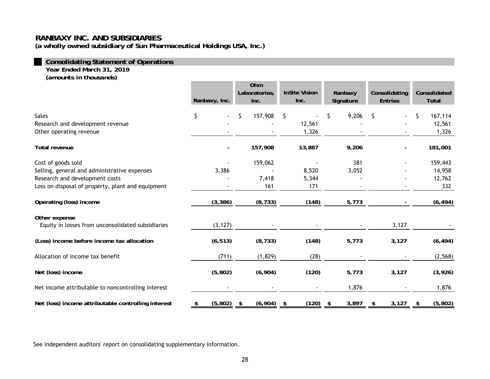**(a wholly owned subsidiary of Sun Pharmaceutical Holdings USA, Inc.)**

## **Consolidating Statement of Operations**

**Year Ended March 31, 2019**

*(amounts in thousands)*

|                                                     |                      | Ohm<br>Laboratories, | <b>InSite Vision</b> | Ranbaxy     | Consolidating  | Consolidated  |
|-----------------------------------------------------|----------------------|----------------------|----------------------|-------------|----------------|---------------|
|                                                     | Ranbaxy, Inc.        | Inc.                 | Inc.                 | Signature   | <b>Entries</b> | <b>Total</b>  |
| <b>Sales</b>                                        | \$<br>$\blacksquare$ | \$<br>157,908        | \$                   | \$<br>9,206 | \$             | \$<br>167,114 |
| Research and development revenue                    |                      |                      | 12,561               |             |                | 12,561        |
| Other operating revenue                             |                      |                      | 1,326                |             |                | 1,326         |
| <b>Total revenue</b>                                |                      | 157,908              | 13,887               | 9,206       |                | 181,001       |
| Cost of goods sold                                  |                      | 159,062              |                      | 381         |                | 159,443       |
| Selling, general and administrative expenses        | 3,386                |                      | 8,520                | 3,052       |                | 14,958        |
| Research and development costs                      |                      | 7,418                | 5,344                |             |                | 12,762        |
| Loss on disposal of property, plant and equipment   |                      | 161                  | 171                  |             |                | 332           |
| Operating (loss) income                             | (3, 386)             | (8, 733)             | (148)                | 5,773       |                | (6, 494)      |
| Other expense                                       |                      |                      |                      |             |                |               |
| Equity in losses from unconsolidated subsidiaries   | (3, 127)             |                      |                      |             | 3,127          |               |
| (Loss) income before income tax allocation          | (6, 513)             | (8, 733)             | (148)                | 5,773       | 3,127          | (6, 494)      |
| Allocation of income tax benefit                    | (711)                | (1,829)              | (28)                 |             |                | (2, 568)      |
| Net (loss) income                                   | (5,802)              | (6,904)              | (120)                | 5,773       | 3,127          | (3,926)       |
| Net income attributable to noncontrolling interest  |                      |                      |                      | 1,876       |                | 1,876         |
| Net (loss) income attributable controlling interest | $(5,802)$ \$<br>\$   | (6,904)              | $(120)$ \$<br>-\$    | 3,897       | 3,127<br>\$    | (5,802)<br>\$ |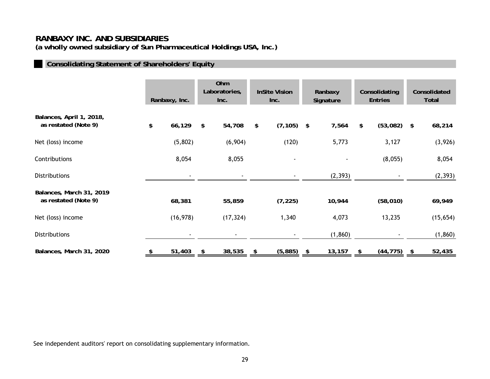**(a wholly owned subsidiary of Sun Pharmaceutical Holdings USA, Inc.)**

## **Consolidating Statement of Shareholders' Equity**

|                                                  |               | Ranbaxy, Inc. | Ohm<br>Laboratories,<br>Inc. |           | <b>InSite Vision</b><br>Inc. |          | Ranbaxy<br>Signature |          | Consolidating<br><b>Entries</b> |           | Consolidated<br>Total |           |
|--------------------------------------------------|---------------|---------------|------------------------------|-----------|------------------------------|----------|----------------------|----------|---------------------------------|-----------|-----------------------|-----------|
| Balances, April 1, 2018,<br>as restated (Note 9) | $\frac{1}{2}$ | 66,129        | \$                           | 54,708    | \$                           | (7, 105) | $\sqrt{5}$           | 7,564    | \$                              | (53,082)  | \$                    | 68,214    |
| Net (loss) income                                |               | (5,802)       |                              | (6,904)   |                              | (120)    |                      | 5,773    |                                 | 3,127     |                       | (3,926)   |
| Contributions                                    |               | 8,054         |                              | 8,055     |                              |          |                      |          |                                 | (8,055)   |                       | 8,054     |
| <b>Distributions</b>                             |               |               |                              |           |                              |          |                      | (2, 393) |                                 |           |                       | (2, 393)  |
| Balances, March 31, 2019<br>as restated (Note 9) |               | 68,381        |                              | 55,859    |                              | (7, 225) |                      | 10,944   |                                 | (58,010)  |                       | 69,949    |
| Net (loss) income                                |               | (16, 978)     |                              | (17, 324) |                              | 1,340    |                      | 4,073    |                                 | 13,235    |                       | (15, 654) |
| <b>Distributions</b>                             |               |               |                              |           |                              |          |                      | (1,860)  |                                 |           |                       | (1,860)   |
| Balances, March 31, 2020                         |               | 51,403        | S                            | 38,535    | S.                           | (5,885)  | \$                   | 13,157   | -SG                             | (44, 775) | S.                    | 52,435    |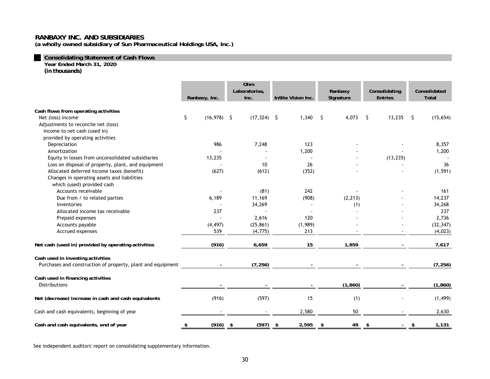**(a wholly owned subsidiary of Sun Pharmaceutical Holdings USA, Inc.)**

## **Consolidating Statement of Cash Flows**

**Year Ended March 31, 2020** *(in thousands)*

|                                                             | Ranbaxy, Inc.    | Ohm<br>Laboratories,<br>Inc. | InSite Vision Inc. | Ranbaxy<br>Signature | Consolidating<br><b>Entries</b> | Consolidated<br><b>Total</b> |
|-------------------------------------------------------------|------------------|------------------------------|--------------------|----------------------|---------------------------------|------------------------------|
|                                                             |                  |                              |                    |                      |                                 |                              |
| Cash flows from operating activities<br>Net (loss) income   | (16, 978)<br>\$  | -S<br>(17, 324)              | 1,340<br>\$.       | \$<br>4,073          | S.<br>13,235                    | -Ŝ<br>(15, 654)              |
| Adjustments to reconcile net (loss)                         |                  |                              |                    |                      |                                 |                              |
| income to net cash (used in)                                |                  |                              |                    |                      |                                 |                              |
| provided by operating activities                            |                  |                              |                    |                      |                                 |                              |
| Depreciation                                                | 986              | 7,248                        | 123                |                      |                                 | 8,357                        |
| Amortization                                                |                  |                              | 1,200              |                      |                                 | 1,200                        |
| Equity in losses from unconsolidated subsidiaries           | 13,235           |                              |                    |                      | (13, 235)                       |                              |
| Loss on disposal of property, plant, and equipment          |                  | 10                           | 26                 |                      |                                 | 36                           |
| Allocated deferred income taxes (benefit)                   | (627)            | (612)                        | (352)              |                      |                                 | (1, 591)                     |
| Changes in operating assets and liabilities                 |                  |                              |                    |                      |                                 |                              |
| which (used) provided cash                                  |                  |                              |                    |                      |                                 |                              |
| Accounts receivable                                         |                  | (81)                         | 242                |                      |                                 | 161                          |
| Due from / to related parties                               | 6,189            | 11,169                       | (908)              | (2, 213)             |                                 | 14,237                       |
| Inventories                                                 |                  | 34,269                       |                    | (1)                  |                                 | 34,268                       |
| Allocated income tax receivable                             | 237              |                              |                    |                      |                                 | 237                          |
| Prepaid expenses                                            |                  | 2,616                        | 120                |                      |                                 | 2,736                        |
| Accounts payable                                            | (4, 497)         | (25, 861)                    | (1,989)            |                      |                                 | (32, 347)                    |
| Accrued expenses                                            | 539              | (4, 775)                     | 213                |                      |                                 | (4,023)                      |
| Net cash (used in) provided by operating activities         | (916)            | 6,659                        | 15                 | 1,859                |                                 | 7,617                        |
| Cash used in investing activities                           |                  |                              |                    |                      |                                 |                              |
| Purchases and construction of property, plant and equipment | $\sim$           | (7, 256)                     |                    |                      |                                 | (7, 256)                     |
| Cash used in financing activities                           |                  |                              |                    |                      |                                 |                              |
| <b>Distributions</b>                                        |                  |                              |                    | (1, 860)             |                                 | (1, 860)                     |
| Net (decrease) increase in cash and cash equivalents        | (916)            | (597)                        | 15                 | (1)                  |                                 | (1, 499)                     |
| Cash and cash equivalents, beginning of year                |                  |                              | 2,580              | 50                   |                                 | 2,630                        |
| Cash and cash equivalents, end of year                      | $(916)$ \$<br>\$ | (597)                        | 2,595<br>\$        | \$<br>49             | \$                              | 1,131<br>\$                  |